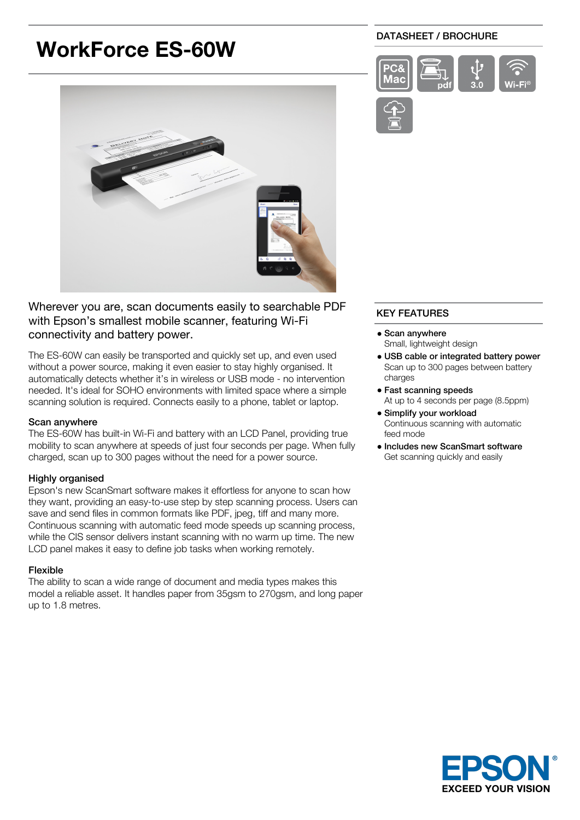# **WorkForce ES-60W**

## DATASHEET / BROCHURE





Wherever you are, scan documents easily to searchable PDF with Epson's smallest mobile scanner, featuring Wi-Fi connectivity and battery power.

The ES-60W can easily be transported and quickly set up, and even used without a power source, making it even easier to stay highly organised. It automatically detects whether it's in wireless or USB mode - no intervention needed. It's ideal for SOHO environments with limited space where a simple scanning solution is required. Connects easily to a phone, tablet or laptop.

#### Scan anywhere

The ES-60W has built-in Wi-Fi and battery with an LCD Panel, providing true mobility to scan anywhere at speeds of just four seconds per page. When fully charged, scan up to 300 pages without the need for a power source.

## Highly organised

Epson's new ScanSmart software makes it effortless for anyone to scan how they want, providing an easy-to-use step by step scanning process. Users can save and send files in common formats like PDF, jpeg, tiff and many more. Continuous scanning with automatic feed mode speeds up scanning process, while the CIS sensor delivers instant scanning with no warm up time. The new LCD panel makes it easy to define job tasks when working remotely.

## Flexible

The ability to scan a wide range of document and media types makes this model a reliable asset. It handles paper from 35gsm to 270gsm, and long paper up to 1.8 metres.

## KEY FEATURES

- Scan anywhere Small, lightweight design
- USB cable or integrated battery power Scan up to 300 pages between battery charges
- Fast scanning speeds At up to 4 seconds per page (8.5ppm)
- Simplify your workload Continuous scanning with automatic feed mode
- Includes new ScanSmart software Get scanning quickly and easily